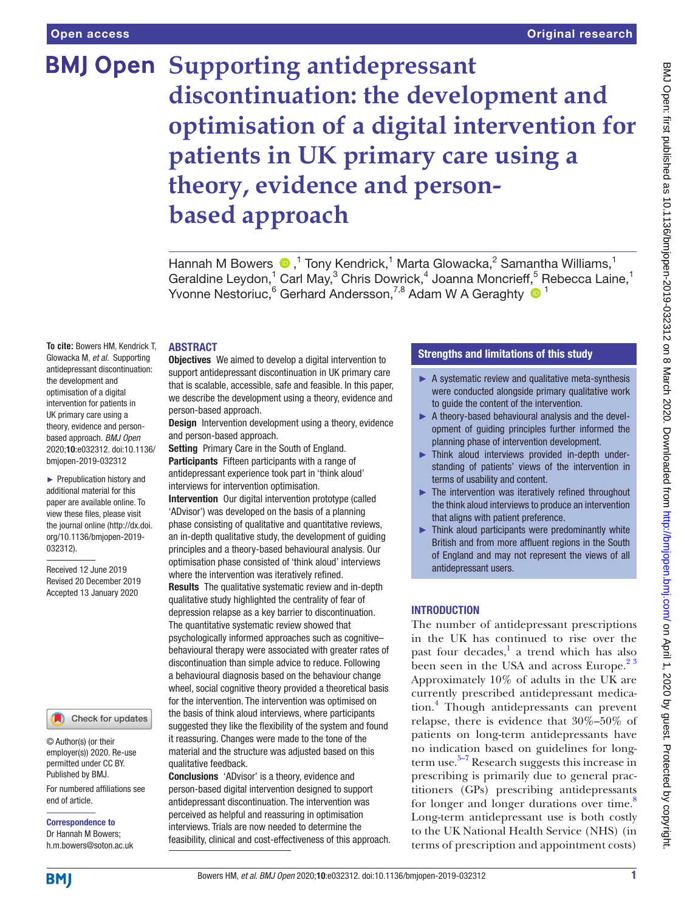# **BMJ Open Supporting antidepressant discontinuation: the development and optimisation of a digital intervention for patients in UK primary care using a theory, evidence and personbased approach**

Hannah M Bowers  $\bigcirc$ ,<sup>1</sup> Tony Kendrick,<sup>1</sup> Marta Glowacka,<sup>2</sup> Samantha Williams,<sup>1</sup> Geraldine Leydon,<sup>1</sup> Carl May,<sup>3</sup> Chris Dowrick,<sup>4</sup> Joanna Moncrieff,<sup>5</sup> Rebecca Laine,<sup>1</sup> Yvonne Nestoriuc, <sup>6</sup> Gerhard Andersson, <sup>7,8</sup> Adam W A Geraghty <sup>1</sup>

#### **ABSTRACT**

**To cite:** Bowers HM, Kendrick T, Glowacka M, *et al*. Supporting antidepressant discontinuation: the development and optimisation of a digital intervention for patients in UK primary care using a theory, evidence and personbased approach. *BMJ Open* 2020;10:e032312. doi:10.1136/ bmjopen-2019-032312

► Prepublication history and additional material for this paper are available online. To view these files, please visit the journal online (http://dx.doi. org/10.1136/bmjopen-2019- 032312).

Received 12 June 2019 Revised 20 December 2019 Accepted 13 January 2020

#### Check for updates

© Author(s) (or their employer(s)) 2020. Re-use permitted under CC BY. Published by BMJ.

For numbered affiliations see end of article.

Correspondence to Dr Hannah M Bowers; h.m.bowers@soton.ac.uk Objectives We aimed to develop a digital intervention to support antidepressant discontinuation in UK primary care that is scalable, accessible, safe and feasible. In this paper, we describe the development using a theory, evidence and person-based approach.

**Design** Intervention development using a theory, evidence and person-based approach.

Setting Primary Care in the South of England.

Participants Fifteen participants with a range of antidepressant experience took part in 'think aloud' interviews for intervention optimisation.

Intervention Our digital intervention prototype (called 'ADvisor') was developed on the basis of a planning phase consisting of qualitative and quantitative reviews, an in-depth qualitative study, the development of guiding principles and a theory-based behavioural analysis. Our optimisation phase consisted of 'think aloud' interviews where the intervention was iteratively refined.

Results The qualitative systematic review and in-depth qualitative study highlighted the centrality of fear of depression relapse as a key barrier to discontinuation. The quantitative systematic review showed that psychologically informed approaches such as cognitive– behavioural therapy were associated with greater rates of discontinuation than simple advice to reduce. Following a behavioural diagnosis based on the behaviour change wheel, social cognitive theory provided a theoretical basis for the intervention. The intervention was optimised on the basis of think aloud interviews, where participants suggested they like the flexibility of the system and found it reassuring. Changes were made to the tone of the material and the structure was adjusted based on this qualitative feedback.

Conclusions 'ADvisor' is a theory, evidence and person-based digital intervention designed to support antidepressant discontinuation. The intervention was perceived as helpful and reassuring in optimisation interviews. Trials are now needed to determine the feasibility, clinical and cost-effectiveness of this approach.

## Strengths and limitations of this study

- $\blacktriangleright$  A systematic review and qualitative meta-synthesis were conducted alongside primary qualitative work to guide the content of the intervention.
- ► A theory-based behavioural analysis and the development of guiding principles further informed the planning phase of intervention development.
- ► Think aloud interviews provided in-depth understanding of patients' views of the intervention in terms of usability and content.
- ► The intervention was iteratively refined throughout the think aloud interviews to produce an intervention that aligns with patient preference.
- ► Think aloud participants were predominantly white British and from more affluent regions in the South of England and may not represent the views of all antidepressant users.

## **INTRODUCTION**

The number of antidepressant prescriptions in the UK has continued to rise over the past four decades,<sup>[1](#page-9-0)</sup> a trend which has also been seen in the USA and across Europe.<sup>23</sup> Approximately 10% of adults in the UK are currently prescribed antidepressant medication.[4](#page-9-2) Though antidepressants can prevent relapse, there is evidence that 30%–50% of patients on long-term antidepressants have no indication based on guidelines for longterm use.<sup>5–7</sup> Research suggests this increase in prescribing is primarily due to general practitioners (GPs) prescribing antidepressants for longer and longer durations over time.<sup>[8](#page-9-4)</sup> Long-term antidepressant use is both costly to the UK National Health Service (NHS) (in terms of prescription and appointment costs)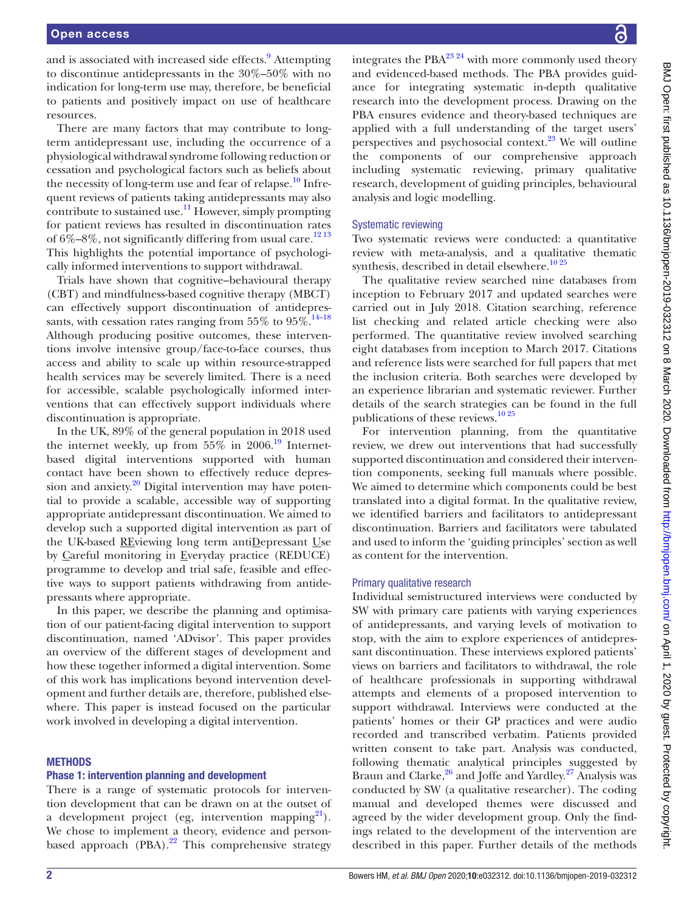and is associated with increased side effects.<sup>[9](#page-10-0)</sup> Attempting to discontinue antidepressants in the 30%–50% with no indication for long-term use may, therefore, be beneficial to patients and positively impact on use of healthcare resources.

There are many factors that may contribute to longterm antidepressant use, including the occurrence of a physiological withdrawal syndrome following reduction or cessation and psychological factors such as beliefs about the necessity of long-term use and fear of relapse.<sup>10</sup> Infrequent reviews of patients taking antidepressants may also contribute to sustained use.<sup>11</sup> However, simply prompting for patient reviews has resulted in discontinuation rates of  $6\% - 8\%$ , not significantly differing from usual care.<sup>[12 13](#page-10-3)</sup> This highlights the potential importance of psychologically informed interventions to support withdrawal.

Trials have shown that cognitive–behavioural therapy (CBT) and mindfulness-based cognitive therapy (MBCT) can effectively support discontinuation of antidepressants, with cessation rates ranging from  $55\%$  to  $95\%$ .<sup>14–18</sup> Although producing positive outcomes, these interventions involve intensive group/face-to-face courses, thus access and ability to scale up within resource-strapped health services may be severely limited. There is a need for accessible, scalable psychologically informed interventions that can effectively support individuals where discontinuation is appropriate.

In the UK, 89% of the general population in 2018 used the internet weekly, up from  $55\%$  in 2006.<sup>19</sup> Internetbased digital interventions supported with human contact have been shown to effectively reduce depression and anxiety. $2^0$  Digital intervention may have potential to provide a scalable, accessible way of supporting appropriate antidepressant discontinuation. We aimed to develop such a supported digital intervention as part of the UK-based REviewing long term antiDepressant Use by Careful monitoring in Everyday practice (REDUCE) programme to develop and trial safe, feasible and effective ways to support patients withdrawing from antidepressants where appropriate.

In this paper, we describe the planning and optimisation of our patient-facing digital intervention to support discontinuation, named 'ADvisor'. This paper provides an overview of the different stages of development and how these together informed a digital intervention. Some of this work has implications beyond intervention development and further details are, therefore, published elsewhere. This paper is instead focused on the particular work involved in developing a digital intervention.

#### **METHODS**

#### Phase 1: intervention planning and development

There is a range of systematic protocols for intervention development that can be drawn on at the outset of a development project (eg, intervention mapping $^{21}$ ). We chose to implement a theory, evidence and personbased approach (PBA).<sup>22</sup> This comprehensive strategy

integrates the PBA $^{23}$  24 with more commonly used theory and evidenced-based methods. The PBA provides guidance for integrating systematic in-depth qualitative research into the development process. Drawing on the PBA ensures evidence and theory-based techniques are applied with a full understanding of the target users' perspectives and psychosocial context. $23$  We will outline the components of our comprehensive approach including systematic reviewing, primary qualitative research, development of guiding principles, behavioural analysis and logic modelling.

#### Systematic reviewing

Two systematic reviews were conducted: a quantitative review with meta-analysis, and a qualitative thematic synthesis, described in detail elsewhere.<sup>[10 25](#page-10-1)</sup>

The qualitative review searched nine databases from inception to February 2017 and updated searches were carried out in July 2018. Citation searching, reference list checking and related article checking were also performed. The quantitative review involved searching eight databases from inception to March 2017. Citations and reference lists were searched for full papers that met the inclusion criteria. Both searches were developed by an experience librarian and systematic reviewer. Further details of the search strategies can be found in the full publications of these reviews.<sup>10 25</sup>

For intervention planning, from the quantitative review, we drew out interventions that had successfully supported discontinuation and considered their intervention components, seeking full manuals where possible. We aimed to determine which components could be best translated into a digital format. In the qualitative review, we identified barriers and facilitators to antidepressant discontinuation. Barriers and facilitators were tabulated and used to inform the 'guiding principles' section as well as content for the intervention.

#### Primary qualitative research

Individual semistructured interviews were conducted by SW with primary care patients with varying experiences of antidepressants, and varying levels of motivation to stop, with the aim to explore experiences of antidepressant discontinuation. These interviews explored patients' views on barriers and facilitators to withdrawal, the role of healthcare professionals in supporting withdrawal attempts and elements of a proposed intervention to support withdrawal. Interviews were conducted at the patients' homes or their GP practices and were audio recorded and transcribed verbatim. Patients provided written consent to take part. Analysis was conducted, following thematic analytical principles suggested by Braun and Clarke, $26$  and Joffe and Yardley. $27$  Analysis was conducted by SW (a qualitative researcher). The coding manual and developed themes were discussed and agreed by the wider development group. Only the findings related to the development of the intervention are described in this paper. Further details of the methods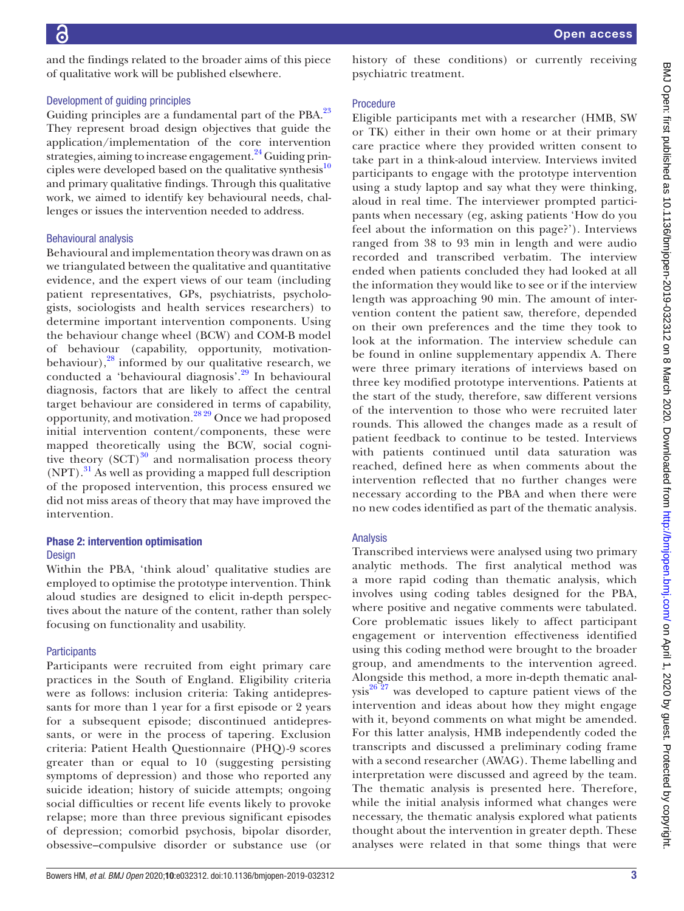and the findings related to the broader aims of this piece of qualitative work will be published elsewhere.

#### Development of guiding principles

Guiding principles are a fundamental part of the PBA.<sup>23</sup> They represent broad design objectives that guide the application/implementation of the core intervention strategies, aiming to increase engagement.<sup>[24](#page-10-12)</sup> Guiding principles were developed based on the qualitative synthesis<sup>10</sup> and primary qualitative findings. Through this qualitative work, we aimed to identify key behavioural needs, challenges or issues the intervention needed to address.

#### Behavioural analysis

Behavioural and implementation theory was drawn on as we triangulated between the qualitative and quantitative evidence, and the expert views of our team (including patient representatives, GPs, psychiatrists, psychologists, sociologists and health services researchers) to determine important intervention components. Using the behaviour change wheel (BCW) and COM-B model of behaviour (capability, opportunity, motivationbehaviour), $^{28}$  $^{28}$  $^{28}$  informed by our qualitative research, we conducted a 'behavioural diagnosis'.[29](#page-10-14) In behavioural diagnosis, factors that are likely to affect the central target behaviour are considered in terms of capability, opportunity, and motivation.[28 29](#page-10-13) Once we had proposed initial intervention content/components, these were mapped theoretically using the BCW, social cognitive theory  $(SCT)^{30}$  $(SCT)^{30}$  $(SCT)^{30}$  and normalisation process theory  $(NPT)$ .<sup>31</sup> As well as providing a mapped full description of the proposed intervention, this process ensured we did not miss areas of theory that may have improved the intervention.

## Phase 2: intervention optimisation

#### Design

Within the PBA, 'think aloud' qualitative studies are employed to optimise the prototype intervention. Think aloud studies are designed to elicit in-depth perspectives about the nature of the content, rather than solely focusing on functionality and usability.

#### **Participants**

Participants were recruited from eight primary care practices in the South of England. Eligibility criteria were as follows: inclusion criteria: Taking antidepressants for more than 1 year for a first episode or 2 years for a subsequent episode; discontinued antidepressants, or were in the process of tapering. Exclusion criteria: Patient Health Questionnaire (PHQ)-9 scores greater than or equal to 10 (suggesting persisting symptoms of depression) and those who reported any suicide ideation; history of suicide attempts; ongoing social difficulties or recent life events likely to provoke relapse; more than three previous significant episodes of depression; comorbid psychosis, bipolar disorder, obsessive–compulsive disorder or substance use (or history of these conditions) or currently receiving psychiatric treatment.

#### Procedure

Eligible participants met with a researcher (HMB, SW or TK) either in their own home or at their primary care practice where they provided written consent to take part in a think-aloud interview. Interviews invited participants to engage with the prototype intervention using a study laptop and say what they were thinking, aloud in real time. The interviewer prompted participants when necessary (eg, asking patients 'How do you feel about the information on this page?'). Interviews ranged from 38 to 93 min in length and were audio recorded and transcribed verbatim. The interview ended when patients concluded they had looked at all the information they would like to see or if the interview length was approaching 90 min. The amount of intervention content the patient saw, therefore, depended on their own preferences and the time they took to look at the information. The interview schedule can be found in [online supplementary appendix A](https://dx.doi.org/10.1136/bmjopen-2019-032312). There were three primary iterations of interviews based on three key modified prototype interventions. Patients at the start of the study, therefore, saw different versions of the intervention to those who were recruited later rounds. This allowed the changes made as a result of patient feedback to continue to be tested. Interviews with patients continued until data saturation was reached, defined here as when comments about the intervention reflected that no further changes were necessary according to the PBA and when there were no new codes identified as part of the thematic analysis.

#### Analysis

Transcribed interviews were analysed using two primary analytic methods. The first analytical method was a more rapid coding than thematic analysis, which involves using coding tables designed for the PBA, where positive and negative comments were tabulated. Core problematic issues likely to affect participant engagement or intervention effectiveness identified using this coding method were brought to the broader group, and amendments to the intervention agreed. Alongside this method, a more in-depth thematic anal $ysis^{26}$ <sup>27</sup> was developed to capture patient views of the intervention and ideas about how they might engage with it, beyond comments on what might be amended. For this latter analysis, HMB independently coded the transcripts and discussed a preliminary coding frame with a second researcher (AWAG). Theme labelling and interpretation were discussed and agreed by the team. The thematic analysis is presented here. Therefore, while the initial analysis informed what changes were necessary, the thematic analysis explored what patients thought about the intervention in greater depth. These analyses were related in that some things that were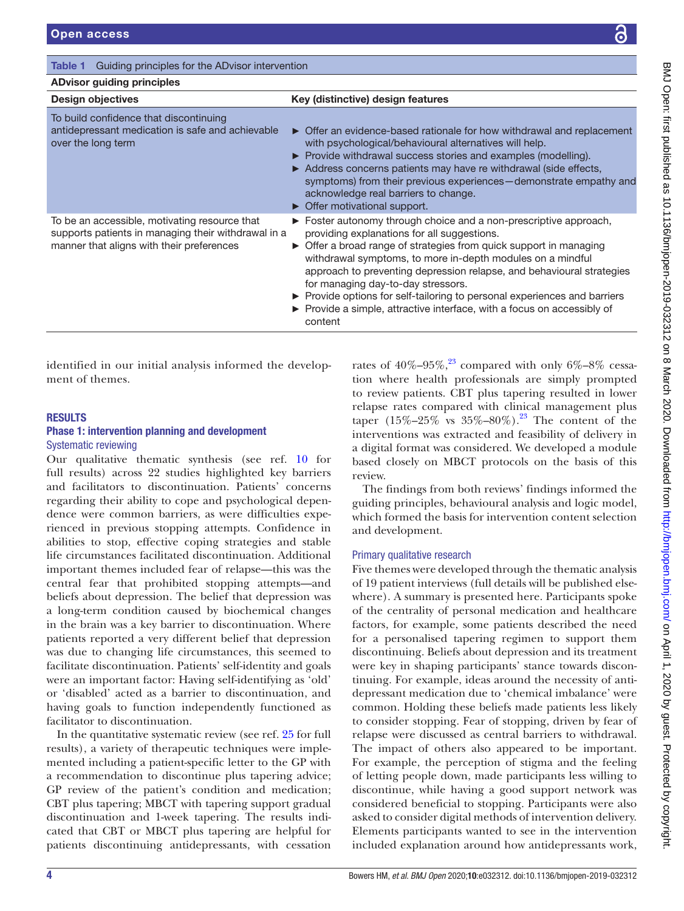## <span id="page-3-0"></span>Table 1 Guiding principles for the ADvisor intervention ADvisor guiding principles

| ADvisor guiding principics                                                                                                                        |                                                                                                                                                                                                                                                                                                                                                                                                                                                                                                                                        |  |  |
|---------------------------------------------------------------------------------------------------------------------------------------------------|----------------------------------------------------------------------------------------------------------------------------------------------------------------------------------------------------------------------------------------------------------------------------------------------------------------------------------------------------------------------------------------------------------------------------------------------------------------------------------------------------------------------------------------|--|--|
| Design objectives                                                                                                                                 | Key (distinctive) design features                                                                                                                                                                                                                                                                                                                                                                                                                                                                                                      |  |  |
| To build confidence that discontinuing<br>antidepressant medication is safe and achievable<br>over the long term                                  | • Offer an evidence-based rationale for how withdrawal and replacement<br>with psychological/behavioural alternatives will help.<br>Provide withdrawal success stories and examples (modelling).<br>Address concerns patients may have re withdrawal (side effects,<br>symptoms) from their previous experiences - demonstrate empathy and<br>acknowledge real barriers to change.<br>$\triangleright$ Offer motivational support.                                                                                                     |  |  |
| To be an accessible, motivating resource that<br>supports patients in managing their withdrawal in a<br>manner that aligns with their preferences | ► Foster autonomy through choice and a non-prescriptive approach,<br>providing explanations for all suggestions.<br>• Offer a broad range of strategies from quick support in managing<br>withdrawal symptoms, to more in-depth modules on a mindful<br>approach to preventing depression relapse, and behavioural strategies<br>for managing day-to-day stressors.<br>▶ Provide options for self-tailoring to personal experiences and barriers<br>▶ Provide a simple, attractive interface, with a focus on accessibly of<br>content |  |  |

identified in our initial analysis informed the development of themes.

#### **RESULTS**

#### Phase 1: intervention planning and development Systematic reviewing

Our qualitative thematic synthesis (see ref. [10](#page-10-1) for full results) across 22 studies highlighted key barriers and facilitators to discontinuation. Patients' concerns regarding their ability to cope and psychological dependence were common barriers, as were difficulties experienced in previous stopping attempts. Confidence in abilities to stop, effective coping strategies and stable life circumstances facilitated discontinuation. Additional important themes included fear of relapse—this was the central fear that prohibited stopping attempts—and beliefs about depression. The belief that depression was a long-term condition caused by biochemical changes in the brain was a key barrier to discontinuation. Where patients reported a very different belief that depression was due to changing life circumstances, this seemed to facilitate discontinuation. Patients' self-identity and goals were an important factor: Having self-identifying as 'old' or 'disabled' acted as a barrier to discontinuation, and having goals to function independently functioned as facilitator to discontinuation.

In the quantitative systematic review (see ref. [25](#page-10-17) for full results), a variety of therapeutic techniques were implemented including a patient-specific letter to the GP with a recommendation to discontinue plus tapering advice; GP review of the patient's condition and medication; CBT plus tapering; MBCT with tapering support gradual discontinuation and 1-week tapering. The results indicated that CBT or MBCT plus tapering are helpful for patients discontinuing antidepressants, with cessation

rates of  $40\% - 95\%$ ,<sup>23</sup> compared with only  $6\% - 8\%$  cessation where health professionals are simply prompted to review patients. CBT plus tapering resulted in lower relapse rates compared with clinical management plus taper (15%–25% vs  $35\%$ –80%).<sup>[23](#page-10-9)</sup> The content of the interventions was extracted and feasibility of delivery in a digital format was considered. We developed a module based closely on MBCT protocols on the basis of this review.

The findings from both reviews' findings informed the guiding principles, behavioural analysis and logic model, which formed the basis for intervention content selection and development.

#### Primary qualitative research

Five themes were developed through the thematic analysis of 19 patient interviews (full details will be published elsewhere). A summary is presented here. Participants spoke of the centrality of personal medication and healthcare factors, for example, some patients described the need for a personalised tapering regimen to support them discontinuing. Beliefs about depression and its treatment were key in shaping participants' stance towards discontinuing. For example, ideas around the necessity of antidepressant medication due to 'chemical imbalance' were common. Holding these beliefs made patients less likely to consider stopping. Fear of stopping, driven by fear of relapse were discussed as central barriers to withdrawal. The impact of others also appeared to be important. For example, the perception of stigma and the feeling of letting people down, made participants less willing to discontinue, while having a good support network was considered beneficial to stopping. Participants were also asked to consider digital methods of intervention delivery. Elements participants wanted to see in the intervention included explanation around how antidepressants work,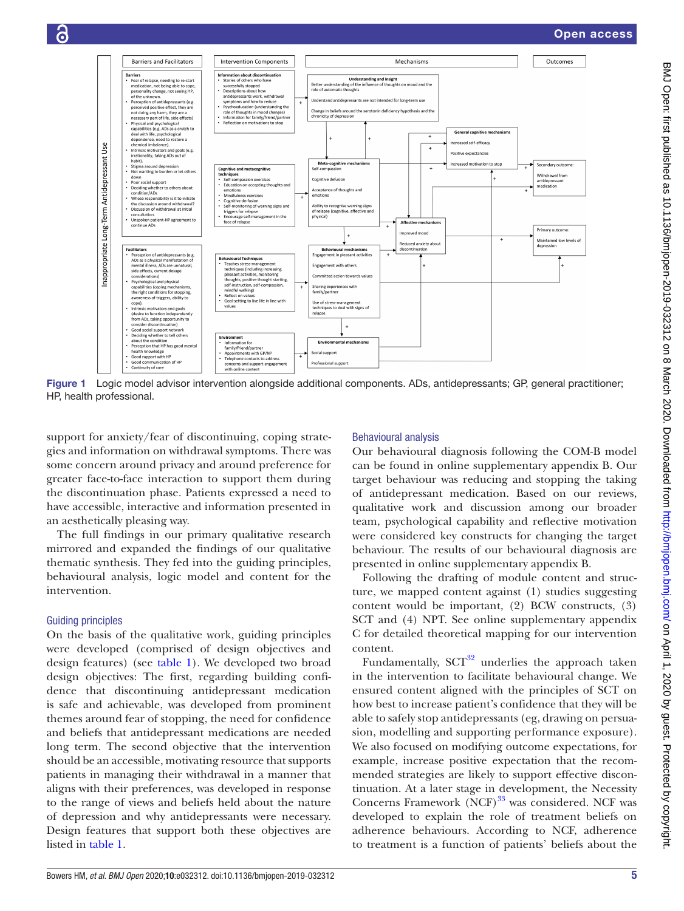

<span id="page-4-0"></span>Figure 1 Logic model advisor intervention alongside additional components. ADs, antidepressants; GP, general practitioner; HP, health professional.

support for anxiety/fear of discontinuing, coping strategies and information on withdrawal symptoms. There was some concern around privacy and around preference for greater face-to-face interaction to support them during the discontinuation phase. Patients expressed a need to have accessible, interactive and information presented in an aesthetically pleasing way.

The full findings in our primary qualitative research mirrored and expanded the findings of our qualitative thematic synthesis. They fed into the guiding principles, behavioural analysis, logic model and content for the intervention.

#### Guiding principles

6

On the basis of the qualitative work, guiding principles were developed (comprised of design objectives and design features) (see [table](#page-3-0) 1). We developed two broad design objectives: The first, regarding building confidence that discontinuing antidepressant medication is safe and achievable, was developed from prominent themes around fear of stopping, the need for confidence and beliefs that antidepressant medications are needed long term. The second objective that the intervention should be an accessible, motivating resource that supports patients in managing their withdrawal in a manner that aligns with their preferences, was developed in response to the range of views and beliefs held about the nature of depression and why antidepressants were necessary. Design features that support both these objectives are listed in [table](#page-3-0) 1.

#### Behavioural analysis

Our behavioural diagnosis following the COM-B model can be found in [online supplementary appendix B](https://dx.doi.org/10.1136/bmjopen-2019-032312). Our target behaviour was reducing and stopping the taking of antidepressant medication. Based on our reviews, qualitative work and discussion among our broader team, psychological capability and reflective motivation were considered key constructs for changing the target behaviour. The results of our behavioural diagnosis are presented in [online supplementary appendix B.](https://dx.doi.org/10.1136/bmjopen-2019-032312)

Following the drafting of module content and structure, we mapped content against (1) studies suggesting content would be important, (2) BCW constructs, (3) SCT and (4) NPT. See [online supplementary appendix](https://dx.doi.org/10.1136/bmjopen-2019-032312)  [C](https://dx.doi.org/10.1136/bmjopen-2019-032312) for detailed theoretical mapping for our intervention content.

Fundamentally,  $SCT^{32}$  underlies the approach taken in the intervention to facilitate behavioural change. We ensured content aligned with the principles of SCT on how best to increase patient's confidence that they will be able to safely stop antidepressants (eg, drawing on persuasion, modelling and supporting performance exposure). We also focused on modifying outcome expectations, for example, increase positive expectation that the recommended strategies are likely to support effective discontinuation. At a later stage in development, the Necessity Concerns Framework (NCF)<sup>33</sup> was considered. NCF was developed to explain the role of treatment beliefs on adherence behaviours. According to NCF, adherence to treatment is a function of patients' beliefs about the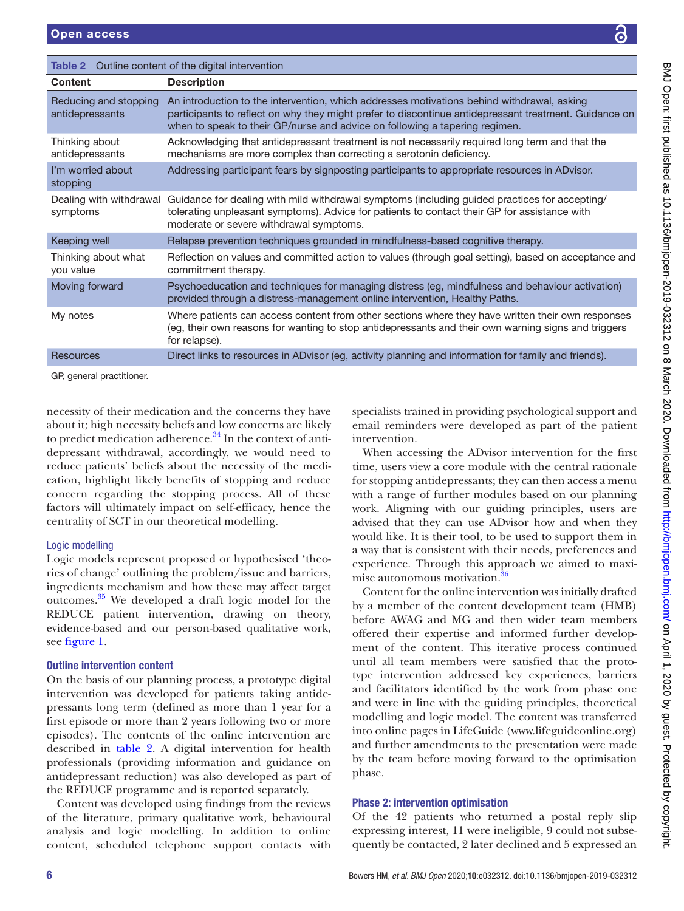<span id="page-5-0"></span>

| <b>Table 2</b> Outline content of the digital intervention |                                                                                                                                                                                                                                                                                                                                          |  |
|------------------------------------------------------------|------------------------------------------------------------------------------------------------------------------------------------------------------------------------------------------------------------------------------------------------------------------------------------------------------------------------------------------|--|
| <b>Content</b>                                             | <b>Description</b>                                                                                                                                                                                                                                                                                                                       |  |
| Reducing and stopping<br>antidepressants                   | An introduction to the intervention, which addresses motivations behind withdrawal, asking<br>participants to reflect on why they might prefer to discontinue antidepressant treatment. Guidance on<br>when to speak to their GP/nurse and advice on following a tapering regimen.                                                       |  |
| Thinking about<br>antidepressants                          | Acknowledging that antidepressant treatment is not necessarily required long term and that the<br>mechanisms are more complex than correcting a serotonin deficiency.                                                                                                                                                                    |  |
| I'm worried about<br>stopping                              | Addressing participant fears by signposting participants to appropriate resources in ADvisor.                                                                                                                                                                                                                                            |  |
| Dealing with withdrawal<br>symptoms                        | Guidance for dealing with mild withdrawal symptoms (including guided practices for accepting/<br>tolerating unpleasant symptoms). Advice for patients to contact their GP for assistance with<br>moderate or severe withdrawal symptoms.                                                                                                 |  |
| Keeping well                                               | Relapse prevention techniques grounded in mindfulness-based cognitive therapy.                                                                                                                                                                                                                                                           |  |
| Thinking about what<br>vou value                           | Reflection on values and committed action to values (through goal setting), based on acceptance and<br>commitment therapy.                                                                                                                                                                                                               |  |
| Moving forward                                             | Psychoeducation and techniques for managing distress (eg, mindfulness and behaviour activation)<br>provided through a distress-management online intervention, Healthy Paths.                                                                                                                                                            |  |
| My notes                                                   | Where patients can access content from other sections where they have written their own responses<br>(eg, their own reasons for wanting to stop antidepressants and their own warning signs and triggers<br>for relapse).                                                                                                                |  |
| <b>Resources</b>                                           | Direct links to resources in ADvisor (eg, activity planning and information for family and friends).                                                                                                                                                                                                                                     |  |
| GP, general practitioner.                                  |                                                                                                                                                                                                                                                                                                                                          |  |
|                                                            | necessity of their medication and the concerns they have<br>specialists trained in providing psychological support and<br>bout it; high necessity beliefs and low concerns are likely<br>email reminders were developed as part of the patient<br>o predict medication adherence. <sup>34</sup> In the context of anti-<br>intervention. |  |

necessity of their medication and the concern about it; high necessity beliefs and low conce to predict medication adherence. $34$  In the co depressant withdrawal, accordingly, we would need to reduce patients' beliefs about the necessity of the medication, highlight likely benefits of stopping and reduce concern regarding the stopping process. All of these factors will ultimately impact on self-efficacy, hence the

centrality of SCT in our theoretical modelling.

## Logic modelling

Logic models represent proposed or hypothesised 'theories of change' outlining the problem/issue and barriers, ingredients mechanism and how these may affect target outcomes[.35](#page-10-21) We developed a draft logic model for the REDUCE patient intervention, drawing on theory, evidence-based and our person-based qualitative work, see [figure](#page-4-0) 1.

## Outline intervention content

On the basis of our planning process, a prototype digital intervention was developed for patients taking antidepressants long term (defined as more than 1 year for a first episode or more than 2 years following two or more episodes). The contents of the online intervention are described in [table](#page-5-0) 2. A digital intervention for health professionals (providing information and guidance on antidepressant reduction) was also developed as part of the REDUCE programme and is reported separately.

Content was developed using findings from the reviews of the literature, primary qualitative work, behavioural analysis and logic modelling. In addition to online content, scheduled telephone support contacts with

When accessing the ADvisor intervention for the first time, users view a core module with the central rationale for stopping antidepressants; they can then access a menu with a range of further modules based on our planning work. Aligning with our guiding principles, users are advised that they can use ADvisor how and when they would like. It is their tool, to be used to support them in a way that is consistent with their needs, preferences and experience. Through this approach we aimed to maximise autonomous motivation.<sup>3</sup>

Content for the online intervention was initially drafted by a member of the content development team (HMB) before AWAG and MG and then wider team members offered their expertise and informed further development of the content. This iterative process continued until all team members were satisfied that the prototype intervention addressed key experiences, barriers and facilitators identified by the work from phase one and were in line with the guiding principles, theoretical modelling and logic model. The content was transferred into online pages in LifeGuide [\(www.lifeguideonline.org](www.lifeguideonline.org)) and further amendments to the presentation were made by the team before moving forward to the optimisation phase.

## Phase 2: intervention optimisation

Of the 42 patients who returned a postal reply slip expressing interest, 11 were ineligible, 9 could not subsequently be contacted, 2 later declined and 5 expressed an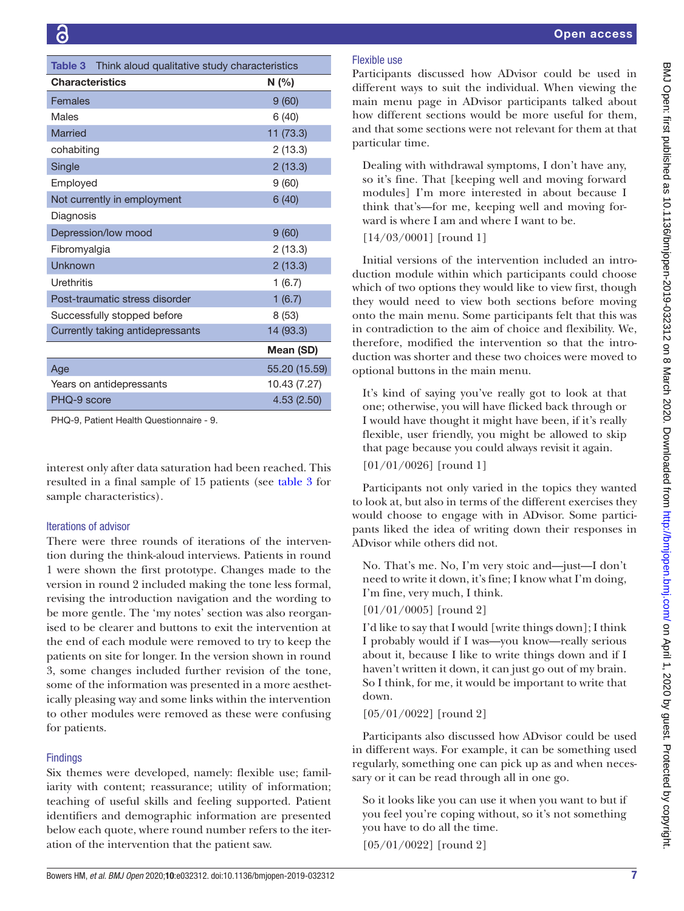<span id="page-6-0"></span>

| Think aloud qualitative study characteristics<br>Table 3 |               |  |
|----------------------------------------------------------|---------------|--|
| <b>Characteristics</b>                                   | N (%)         |  |
| Females                                                  | 9(60)         |  |
| Males                                                    | 6(40)         |  |
| <b>Married</b>                                           | 11 (73.3)     |  |
| cohabiting                                               | 2(13.3)       |  |
| Single                                                   | 2(13.3)       |  |
| Employed                                                 | 9(60)         |  |
| Not currently in employment                              | 6(40)         |  |
| Diagnosis                                                |               |  |
| Depression/low mood                                      | 9(60)         |  |
| Fibromyalgia                                             | 2(13.3)       |  |
| Unknown                                                  | 2(13.3)       |  |
| <b>Urethritis</b>                                        | 1(6.7)        |  |
| Post-traumatic stress disorder                           | 1(6.7)        |  |
| Successfully stopped before                              | 8(53)         |  |
| Currently taking antidepressants                         | 14 (93.3)     |  |
|                                                          | Mean (SD)     |  |
| Age                                                      | 55.20 (15.59) |  |
| Years on antidepressants                                 | 10.43 (7.27)  |  |
| PHQ-9 score                                              | 4.53(2.50)    |  |
| <u>-1000 - 1000 - 1000 - 1100</u>                        |               |  |

PHQ-9, Patient Health Questionnaire - 9.

interest only after data saturation had been reached. This resulted in a final sample of 15 patients (see [table](#page-6-0) 3 for sample characteristics).

#### Iterations of advisor

There were three rounds of iterations of the intervention during the think-aloud interviews. Patients in round 1 were shown the first prototype. Changes made to the version in round 2 included making the tone less formal, revising the introduction navigation and the wording to be more gentle. The 'my notes' section was also reorganised to be clearer and buttons to exit the intervention at the end of each module were removed to try to keep the patients on site for longer. In the version shown in round 3, some changes included further revision of the tone, some of the information was presented in a more aesthetically pleasing way and some links within the intervention to other modules were removed as these were confusing for patients.

#### **Findings**

Six themes were developed, namely: flexible use; familiarity with content; reassurance; utility of information; teaching of useful skills and feeling supported. Patient identifiers and demographic information are presented below each quote, where round number refers to the iteration of the intervention that the patient saw.

## Flexible use

Participants discussed how ADvisor could be used in different ways to suit the individual. When viewing the main menu page in ADvisor participants talked about how different sections would be more useful for them, and that some sections were not relevant for them at that particular time.

Dealing with withdrawal symptoms, I don't have any, so it's fine. That [keeping well and moving forward modules] I'm more interested in about because I think that's—for me, keeping well and moving forward is where I am and where I want to be.

[14/03/0001] [round 1]

Initial versions of the intervention included an introduction module within which participants could choose which of two options they would like to view first, though they would need to view both sections before moving onto the main menu. Some participants felt that this was in contradiction to the aim of choice and flexibility. We, therefore, modified the intervention so that the introduction was shorter and these two choices were moved to optional buttons in the main menu.

It's kind of saying you've really got to look at that one; otherwise, you will have flicked back through or I would have thought it might have been, if it's really flexible, user friendly, you might be allowed to skip that page because you could always revisit it again.

[01/01/0026] [round 1]

Participants not only varied in the topics they wanted to look at, but also in terms of the different exercises they would choose to engage with in ADvisor. Some participants liked the idea of writing down their responses in ADvisor while others did not.

No. That's me. No, I'm very stoic and—just—I don't need to write it down, it's fine; I know what I'm doing, I'm fine, very much, I think.

## [01/01/0005] [round 2]

I'd like to say that I would [write things down]; I think I probably would if I was—you know—really serious about it, because I like to write things down and if I haven't written it down, it can just go out of my brain. So I think, for me, it would be important to write that down.

[05/01/0022] [round 2]

Participants also discussed how ADvisor could be used in different ways. For example, it can be something used regularly, something one can pick up as and when necessary or it can be read through all in one go.

So it looks like you can use it when you want to but if you feel you're coping without, so it's not something you have to do all the time.

[05/01/0022] [round 2]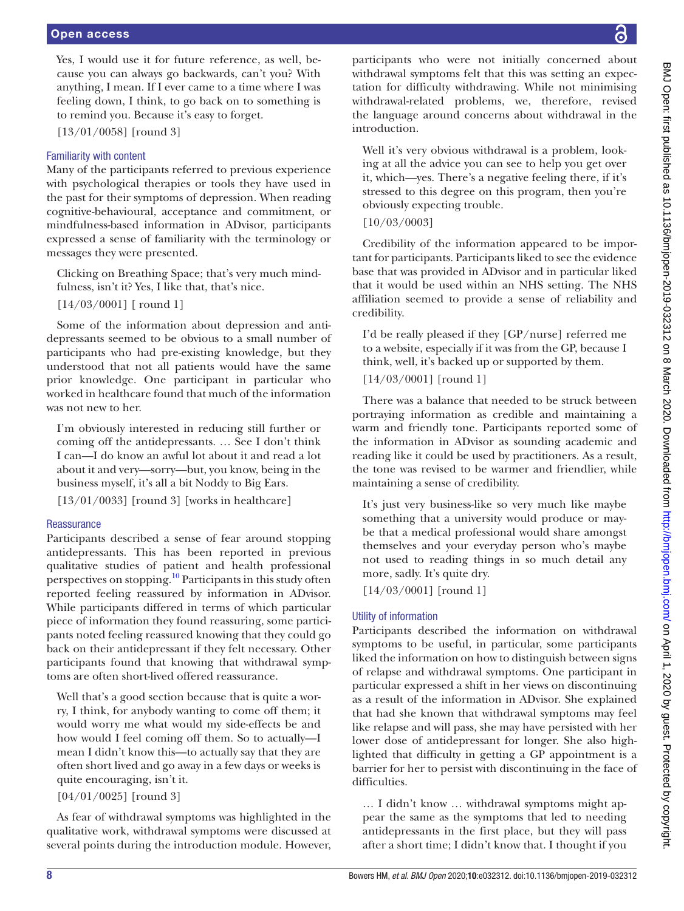Yes, I would use it for future reference, as well, because you can always go backwards, can't you? With anything, I mean. If I ever came to a time where I was feeling down, I think, to go back on to something is to remind you. Because it's easy to forget.

[13/01/0058] [round 3]

## Familiarity with content

Many of the participants referred to previous experience with psychological therapies or tools they have used in the past for their symptoms of depression. When reading cognitive-behavioural, acceptance and commitment, or mindfulness-based information in ADvisor, participants expressed a sense of familiarity with the terminology or messages they were presented.

Clicking on Breathing Space; that's very much mindfulness, isn't it? Yes, I like that, that's nice.

[14/03/0001] [ round 1]

Some of the information about depression and antidepressants seemed to be obvious to a small number of participants who had pre-existing knowledge, but they understood that not all patients would have the same prior knowledge. One participant in particular who worked in healthcare found that much of the information was not new to her.

I'm obviously interested in reducing still further or coming off the antidepressants. … See I don't think I can—I do know an awful lot about it and read a lot about it and very—sorry—but, you know, being in the business myself, it's all a bit Noddy to Big Ears.

 $[13/01/0033]$  [round 3] [works in healthcare]

## **Reassurance**

Participants described a sense of fear around stopping antidepressants. This has been reported in previous qualitative studies of patient and health professional perspectives on stopping.<sup>[10](#page-10-1)</sup> Participants in this study often reported feeling reassured by information in ADvisor. While participants differed in terms of which particular piece of information they found reassuring, some participants noted feeling reassured knowing that they could go back on their antidepressant if they felt necessary. Other participants found that knowing that withdrawal symptoms are often short-lived offered reassurance.

Well that's a good section because that is quite a worry, I think, for anybody wanting to come off them; it would worry me what would my side-effects be and how would I feel coming off them. So to actually—I mean I didn't know this—to actually say that they are often short lived and go away in a few days or weeks is quite encouraging, isn't it.

[04/01/0025] [round 3]

As fear of withdrawal symptoms was highlighted in the qualitative work, withdrawal symptoms were discussed at several points during the introduction module. However,

participants who were not initially concerned about withdrawal symptoms felt that this was setting an expectation for difficulty withdrawing. While not minimising withdrawal-related problems, we, therefore, revised the language around concerns about withdrawal in the introduction.

Well it's very obvious withdrawal is a problem, looking at all the advice you can see to help you get over it, which—yes. There's a negative feeling there, if it's stressed to this degree on this program, then you're obviously expecting trouble.

[10/03/0003]

Credibility of the information appeared to be important for participants. Participants liked to see the evidence base that was provided in ADvisor and in particular liked that it would be used within an NHS setting. The NHS affiliation seemed to provide a sense of reliability and credibility.

I'd be really pleased if they [GP/nurse] referred me to a website, especially if it was from the GP, because I think, well, it's backed up or supported by them.

[14/03/0001] [round 1]

There was a balance that needed to be struck between portraying information as credible and maintaining a warm and friendly tone. Participants reported some of the information in ADvisor as sounding academic and reading like it could be used by practitioners. As a result, the tone was revised to be warmer and friendlier, while maintaining a sense of credibility.

It's just very business-like so very much like maybe something that a university would produce or maybe that a medical professional would share amongst themselves and your everyday person who's maybe not used to reading things in so much detail any more, sadly. It's quite dry.

[14/03/0001] [round 1]

## Utility of information

Participants described the information on withdrawal symptoms to be useful, in particular, some participants liked the information on how to distinguish between signs of relapse and withdrawal symptoms. One participant in particular expressed a shift in her views on discontinuing as a result of the information in ADvisor. She explained that had she known that withdrawal symptoms may feel like relapse and will pass, she may have persisted with her lower dose of antidepressant for longer. She also highlighted that difficulty in getting a GP appointment is a barrier for her to persist with discontinuing in the face of difficulties.

… I didn't know … withdrawal symptoms might appear the same as the symptoms that led to needing antidepressants in the first place, but they will pass after a short time; I didn't know that. I thought if you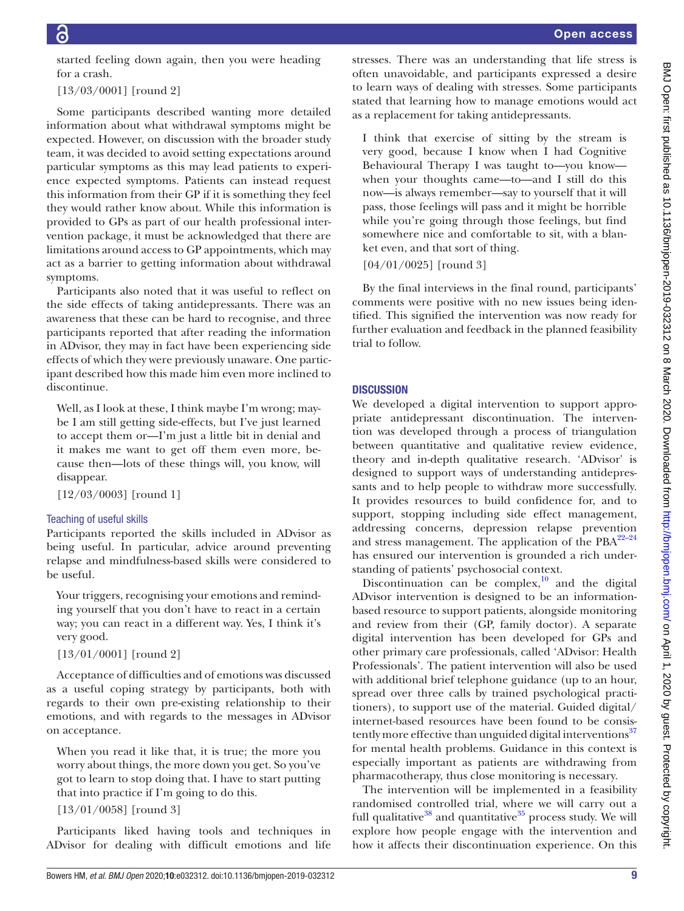started feeling down again, then you were heading for a crash.

[13/03/0001] [round 2]

Some participants described wanting more detailed information about what withdrawal symptoms might be expected. However, on discussion with the broader study team, it was decided to avoid setting expectations around particular symptoms as this may lead patients to experience expected symptoms. Patients can instead request this information from their GP if it is something they feel they would rather know about. While this information is provided to GPs as part of our health professional intervention package, it must be acknowledged that there are limitations around access to GP appointments, which may act as a barrier to getting information about withdrawal symptoms.

Participants also noted that it was useful to reflect on the side effects of taking antidepressants. There was an awareness that these can be hard to recognise, and three participants reported that after reading the information in ADvisor, they may in fact have been experiencing side effects of which they were previously unaware. One participant described how this made him even more inclined to discontinue.

Well, as I look at these, I think maybe I'm wrong; maybe I am still getting side-effects, but I've just learned to accept them or—I'm just a little bit in denial and it makes me want to get off them even more, because then—lots of these things will, you know, will disappear.

[12/03/0003] [round 1]

#### Teaching of useful skills

Participants reported the skills included in ADvisor as being useful. In particular, advice around preventing relapse and mindfulness-based skills were considered to be useful.

Your triggers, recognising your emotions and reminding yourself that you don't have to react in a certain way; you can react in a different way. Yes, I think it's very good.

[13/01/0001] [round 2]

Acceptance of difficulties and of emotions was discussed as a useful coping strategy by participants, both with regards to their own pre-existing relationship to their emotions, and with regards to the messages in ADvisor on acceptance.

When you read it like that, it is true; the more you worry about things, the more down you get. So you've got to learn to stop doing that. I have to start putting that into practice if I'm going to do this.

[13/01/0058] [round 3]

Participants liked having tools and techniques in ADvisor for dealing with difficult emotions and life stresses. There was an understanding that life stress is often unavoidable, and participants expressed a desire to learn ways of dealing with stresses. Some participants stated that learning how to manage emotions would act as a replacement for taking antidepressants.

I think that exercise of sitting by the stream is very good, because I know when I had Cognitive Behavioural Therapy I was taught to—you know when your thoughts came—to—and I still do this now—is always remember—say to yourself that it will pass, those feelings will pass and it might be horrible while you're going through those feelings, but find somewhere nice and comfortable to sit, with a blanket even, and that sort of thing.

[04/01/0025] [round 3]

By the final interviews in the final round, participants' comments were positive with no new issues being identified. This signified the intervention was now ready for further evaluation and feedback in the planned feasibility trial to follow.

### **DISCUSSION**

We developed a digital intervention to support appropriate antidepressant discontinuation. The intervention was developed through a process of triangulation between quantitative and qualitative review evidence, theory and in-depth qualitative research. 'ADvisor' is designed to support ways of understanding antidepressants and to help people to withdraw more successfully. It provides resources to build confidence for, and to support, stopping including side effect management, addressing concerns, depression relapse prevention and stress management. The application of the  $PBA^{22-24}$ has ensured our intervention is grounded a rich understanding of patients' psychosocial context.

Discontinuation can be complex, $\frac{10}{10}$  and the digital ADvisor intervention is designed to be an informationbased resource to support patients, alongside monitoring and review from their (GP, family doctor). A separate digital intervention has been developed for GPs and other primary care professionals, called 'ADvisor: Health Professionals'. The patient intervention will also be used with additional brief telephone guidance (up to an hour, spread over three calls by trained psychological practitioners), to support use of the material. Guided digital/ internet-based resources have been found to be consis-tently more effective than unguided digital interventions<sup>[37](#page-10-23)</sup> for mental health problems. Guidance in this context is especially important as patients are withdrawing from pharmacotherapy, thus close monitoring is necessary.

The intervention will be implemented in a feasibility randomised controlled trial, where we will carry out a full qualitative<sup>[38](#page-10-24)</sup> and quantitative<sup>35</sup> process study. We will explore how people engage with the intervention and how it affects their discontinuation experience. On this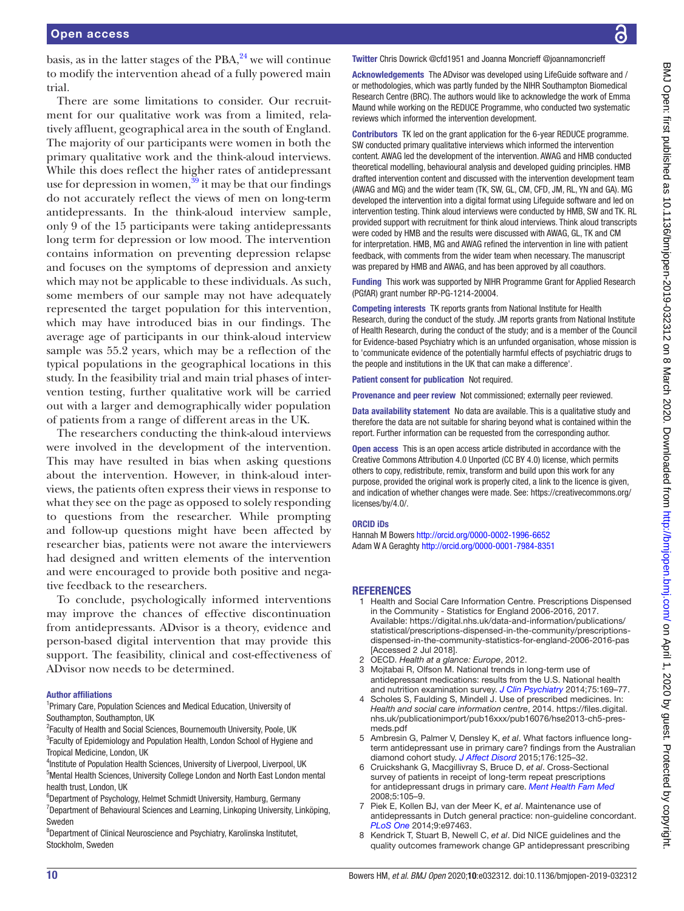basis, as in the latter stages of the PBA, $^{24}$  we will continue to modify the intervention ahead of a fully powered main trial.

There are some limitations to consider. Our recruitment for our qualitative work was from a limited, relatively affluent, geographical area in the south of England. The majority of our participants were women in both the primary qualitative work and the think-aloud interviews. While this does reflect the higher rates of antidepressant use for depression in women,<sup>39</sup> it may be that our findings do not accurately reflect the views of men on long-term antidepressants. In the think-aloud interview sample, only 9 of the 15 participants were taking antidepressants long term for depression or low mood. The intervention contains information on preventing depression relapse and focuses on the symptoms of depression and anxiety which may not be applicable to these individuals. As such, some members of our sample may not have adequately represented the target population for this intervention, which may have introduced bias in our findings. The average age of participants in our think-aloud interview sample was 55.2 years, which may be a reflection of the typical populations in the geographical locations in this study. In the feasibility trial and main trial phases of intervention testing, further qualitative work will be carried out with a larger and demographically wider population of patients from a range of different areas in the UK.

The researchers conducting the think-aloud interviews were involved in the development of the intervention. This may have resulted in bias when asking questions about the intervention. However, in think-aloud interviews, the patients often express their views in response to what they see on the page as opposed to solely responding to questions from the researcher. While prompting and follow-up questions might have been affected by researcher bias, patients were not aware the interviewers had designed and written elements of the intervention and were encouraged to provide both positive and negative feedback to the researchers.

To conclude, psychologically informed interventions may improve the chances of effective discontinuation from antidepressants. ADvisor is a theory, evidence and person-based digital intervention that may provide this support. The feasibility, clinical and cost-effectiveness of ADvisor now needs to be determined.

#### Author affiliations

<sup>1</sup>Primary Care, Population Sciences and Medical Education, University of Southampton, Southampton, UK

- <sup>2</sup> Faculty of Health and Social Sciences, Bournemouth University, Poole, UK <sup>3</sup> Faculty of Epidemiology and Population Health, London School of Hygiene and Tropical Medicine, London, UK
- <sup>4</sup>Institute of Population Health Sciences, University of Liverpool, Liverpool, UK <sup>5</sup>Mental Health Sciences, University College London and North East London mental health trust, London, UK
- <sup>6</sup>Department of Psychology, Helmet Schmidt University, Hamburg, Germany <sup>7</sup>Department of Behavioural Sciences and Learning, Linkoping University, Linköping, Sweden
- <sup>8</sup>Department of Clinical Neuroscience and Psychiatry, Karolinska Institutet, Stockholm, Sweden

Twitter Chris Dowrick [@cfd1951](https://twitter.com/cfd1951) and Joanna Moncrieff [@joannamoncrieff](https://twitter.com/joannamoncrieff)

Acknowledgements The ADvisor was developed using LifeGuide software and / or methodologies, which was partly funded by the NIHR Southampton Biomedical Research Centre (BRC). The authors would like to acknowledge the work of Emma Maund while working on the REDUCE Programme, who conducted two systematic reviews which informed the intervention development.

Contributors TK led on the grant application for the 6-year REDUCE programme. SW conducted primary qualitative interviews which informed the intervention content. AWAG led the development of the intervention. AWAG and HMB conducted theoretical modelling, behavioural analysis and developed guiding principles. HMB drafted intervention content and discussed with the intervention development team (AWAG and MG) and the wider team (TK, SW, GL, CM, CFD, JM, RL, YN and GA). MG developed the intervention into a digital format using Lifeguide software and led on intervention testing. Think aloud interviews were conducted by HMB, SW and TK. RL provided support with recruitment for think aloud interviews. Think aloud transcripts were coded by HMB and the results were discussed with AWAG, GL, TK and CM for interpretation. HMB, MG and AWAG refined the intervention in line with patient feedback, with comments from the wider team when necessary. The manuscript was prepared by HMB and AWAG, and has been approved by all coauthors.

Funding This work was supported by NIHR Programme Grant for Applied Research (PGfAR) grant number RP-PG-1214-20004.

Competing interests TK reports grants from National Institute for Health Research, during the conduct of the study. JM reports grants from National Institute of Health Research, during the conduct of the study; and is a member of the Council for Evidence-based Psychiatry which is an unfunded organisation, whose mission is to 'communicate evidence of the potentially harmful effects of psychiatric drugs to the people and institutions in the UK that can make a difference'.

Patient consent for publication Not required.

Provenance and peer review Not commissioned; externally peer reviewed.

Data availability statement No data are available. This is a qualitative study and therefore the data are not suitable for sharing beyond what is contained within the report. Further information can be requested from the corresponding author.

**Open access** This is an open access article distributed in accordance with the Creative Commons Attribution 4.0 Unported (CC BY 4.0) license, which permits others to copy, redistribute, remix, transform and build upon this work for any purpose, provided the original work is properly cited, a link to the licence is given, and indication of whether changes were made. See: [https://creativecommons.org/](https://creativecommons.org/licenses/by/4.0/) [licenses/by/4.0/](https://creativecommons.org/licenses/by/4.0/).

#### ORCID iDs

Hannah M Bowers <http://orcid.org/0000-0002-1996-6652> Adam W A Geraghty<http://orcid.org/0000-0001-7984-8351>

#### **REFERENCES**

- <span id="page-9-0"></span>1 Health and Social Care Information Centre. Prescriptions Dispensed in the Community - Statistics for England 2006-2016, 2017. Available: [https://digital.nhs.uk/data-and-information/publications/](https://digital.nhs.uk/data-and-information/publications/statistical/prescriptions-dispensed-in-the-community/prescriptions-dispensed-in-the-community-statistics-for-england-2006-2016-pas) [statistical/prescriptions-dispensed-in-the-community/prescriptions](https://digital.nhs.uk/data-and-information/publications/statistical/prescriptions-dispensed-in-the-community/prescriptions-dispensed-in-the-community-statistics-for-england-2006-2016-pas)[dispensed-in-the-community-statistics-for-england-2006-2016-pas](https://digital.nhs.uk/data-and-information/publications/statistical/prescriptions-dispensed-in-the-community/prescriptions-dispensed-in-the-community-statistics-for-england-2006-2016-pas) [Accessed 2 Jul 2018].
- <span id="page-9-1"></span>2 OECD. *Health at a glance: Europe*, 2012.
- 3 Mojtabai R, Olfson M. National trends in long-term use of antidepressant medications: results from the U.S. National health and nutrition examination survey. *[J Clin Psychiatry](http://dx.doi.org/10.4088/JCP.13m08443)* 2014;75:169–77.
- <span id="page-9-2"></span>Scholes S, Faulding S, Mindell J. Use of prescribed medicines. In: *Health and social care information centre*, 2014. [https://files.digital.](https://files.digital.nhs.uk/publicationimport/pub16xxx/pub16076/hse2013-ch5-pres-meds.pdf) [nhs.uk/publicationimport/pub16xxx/pub16076/hse2013-ch5-pres](https://files.digital.nhs.uk/publicationimport/pub16xxx/pub16076/hse2013-ch5-pres-meds.pdf)[meds.pdf](https://files.digital.nhs.uk/publicationimport/pub16xxx/pub16076/hse2013-ch5-pres-meds.pdf)
- <span id="page-9-3"></span>5 Ambresin G, Palmer V, Densley K, *et al*. What factors influence longterm antidepressant use in primary care? findings from the Australian diamond cohort study. *[J Affect Disord](http://dx.doi.org/10.1016/j.jad.2015.01.055)* 2015;176:125–32.
- 6 Cruickshank G, Macgillivray S, Bruce D, *et al*. Cross-Sectional survey of patients in receipt of long-term repeat prescriptions for antidepressant drugs in primary care. *[Ment Health Fam Med](http://www.ncbi.nlm.nih.gov/pubmed/22477855)* 2008;5:105–9.
- 7 Piek E, Kollen BJ, van der Meer K, *et al*. Maintenance use of antidepressants in Dutch general practice: non-guideline concordant. *[PLoS One](http://dx.doi.org/10.1371/journal.pone.0097463)* 2014;9:e97463.
- <span id="page-9-4"></span>8 Kendrick T, Stuart B, Newell C, *et al*. Did NICE guidelines and the quality outcomes framework change GP antidepressant prescribing